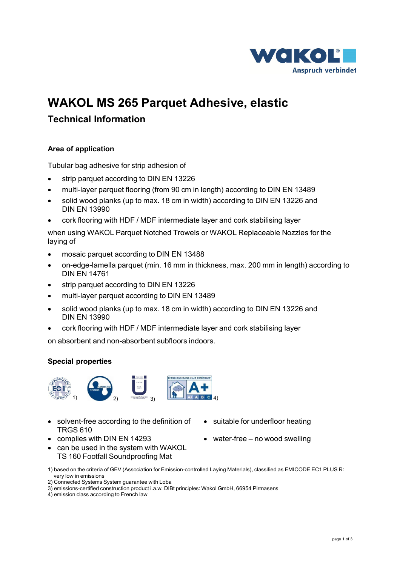

# **WAKOL MS 265 Parquet Adhesive, elastic**

# **Technical Information**

# **Area of application**

Tubular bag adhesive for strip adhesion of

- strip parquet according to DIN EN 13226
- multi-layer parquet flooring (from 90 cm in length) according to DIN EN 13489
- solid wood planks (up to max. 18 cm in width) according to DIN EN 13226 and DIN EN 13990
- cork flooring with HDF / MDF intermediate layer and cork stabilising layer

when using WAKOL Parquet Notched Trowels or WAKOL Replaceable Nozzles for the laying of

- mosaic parquet according to DIN EN 13488
- on-edge-lamella parquet (min. 16 mm in thickness, max. 200 mm in length) according to DIN EN 14761
- strip parquet according to DIN EN 13226
- multi-layer parquet according to DIN EN 13489
- solid wood planks (up to max. 18 cm in width) according to DIN EN 13226 and DIN EN 13990
- cork flooring with HDF / MDF intermediate layer and cork stabilising layer

on absorbent and non-absorbent subfloors indoors.

#### **Special properties**



- solvent-free according to the definition of TRGS 610
- complies with DIN EN 14293 water-free no wood swelling
- can be used in the system with WAKOL TS 160 Footfall Soundproofing Mat
- 1) based on the criteria of GEV (Association for Emission-controlled Laying Materials), classified as EMICODE EC1 PLUS R: very low in emissions

4) emission class according to French law

- suitable for underfloor heating
- 

<sup>2)</sup> Connected Systems System guarantee with Loba

<sup>3)</sup> emissions-certified construction product i.a.w. DIBt principles: Wakol GmbH, 66954 Pirmasens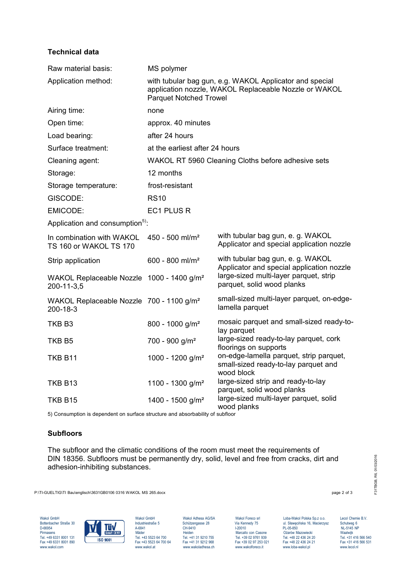## **Technical data**

| Raw material basis:                                                    | MS polymer                                                                                                                                        |                                                                                               |
|------------------------------------------------------------------------|---------------------------------------------------------------------------------------------------------------------------------------------------|-----------------------------------------------------------------------------------------------|
| Application method:                                                    | with tubular bag gun, e.g. WAKOL Applicator and special<br>application nozzle, WAKOL Replaceable Nozzle or WAKOL<br><b>Parquet Notched Trowel</b> |                                                                                               |
| Airing time:                                                           | none                                                                                                                                              |                                                                                               |
| Open time:                                                             | approx. 40 minutes                                                                                                                                |                                                                                               |
| Load bearing:                                                          | after 24 hours                                                                                                                                    |                                                                                               |
| Surface treatment:                                                     | at the earliest after 24 hours                                                                                                                    |                                                                                               |
| Cleaning agent:                                                        | WAKOL RT 5960 Cleaning Cloths before adhesive sets                                                                                                |                                                                                               |
| Storage:                                                               | 12 months                                                                                                                                         |                                                                                               |
| Storage temperature:                                                   | frost-resistant                                                                                                                                   |                                                                                               |
| GISCODE:                                                               | <b>RS10</b>                                                                                                                                       |                                                                                               |
| <b>EMICODE:</b>                                                        | EC1 PLUS R                                                                                                                                        |                                                                                               |
| Application and consumption <sup>5)</sup> :                            |                                                                                                                                                   |                                                                                               |
| In combination with WAKOL<br>TS 160 or WAKOL TS 170                    | 450 - 500 ml/m <sup>2</sup>                                                                                                                       | with tubular bag gun, e. g. WAKOL<br>Applicator and special application nozzle                |
| Strip application                                                      | 600 - 800 ml/m <sup>2</sup>                                                                                                                       | with tubular bag gun, e. g. WAKOL<br>Applicator and special application nozzle                |
| WAKOL Replaceable Nozzle 1000 - 1400 g/m <sup>2</sup><br>200-11-3,5    |                                                                                                                                                   | large-sized multi-layer parquet, strip<br>parquet, solid wood planks                          |
| WAKOL Replaceable Nozzle 700 - 1100 g/m <sup>2</sup><br>$200 - 18 - 3$ |                                                                                                                                                   | small-sized multi-layer parquet, on-edge-<br>lamella parquet                                  |
| TKB B3                                                                 | 800 - 1000 g/m <sup>2</sup>                                                                                                                       | mosaic parquet and small-sized ready-to-<br>lay parquet                                       |
| TKB B5                                                                 | $700 - 900$ g/m <sup>2</sup>                                                                                                                      | large-sized ready-to-lay parquet, cork<br>floorings on supports                               |
| TKB B11                                                                | 1000 - 1200 g/m <sup>2</sup>                                                                                                                      | on-edge-lamella parquet, strip parquet,<br>small-sized ready-to-lay parquet and<br>wood block |
| TKB B13                                                                | 1100 - 1300 g/m <sup>2</sup>                                                                                                                      | large-sized strip and ready-to-lay<br>parquet, solid wood planks                              |
| <b>TKB B15</b>                                                         | 1400 - 1500 g/m <sup>2</sup>                                                                                                                      | large-sized multi-layer parquet, solid<br>wood planks                                         |

5) Consumption is dependent on surface structure and absorbability of subfloor

#### **Subfloors**

The subfloor and the climatic conditions of the room must meet the requirements of DIN 18356. Subfloors must be permanently dry, solid, level and free from cracks, dirt and adhesion-inhibiting substances.

P:\TI-GUELTIG\TI Bau\englisch\3631GB0106 0316 WAKOL MS 265.docx page 2 of 3



www.wakoladhesa.ch

Fax +49 6331 8001 131<br>
Fax +49 6331 8001 131<br>
Fax +48 5523 64 700 64 Fax +43 13 9210 755 Fax +43 13 9210 755 Fax +43 13 9210 755 Fax +43 13 9210 755 Fax +48 6331 8001 890 Fax +48 5523 64 700 Fax +48 32 436 24 20<br>
Fax +48